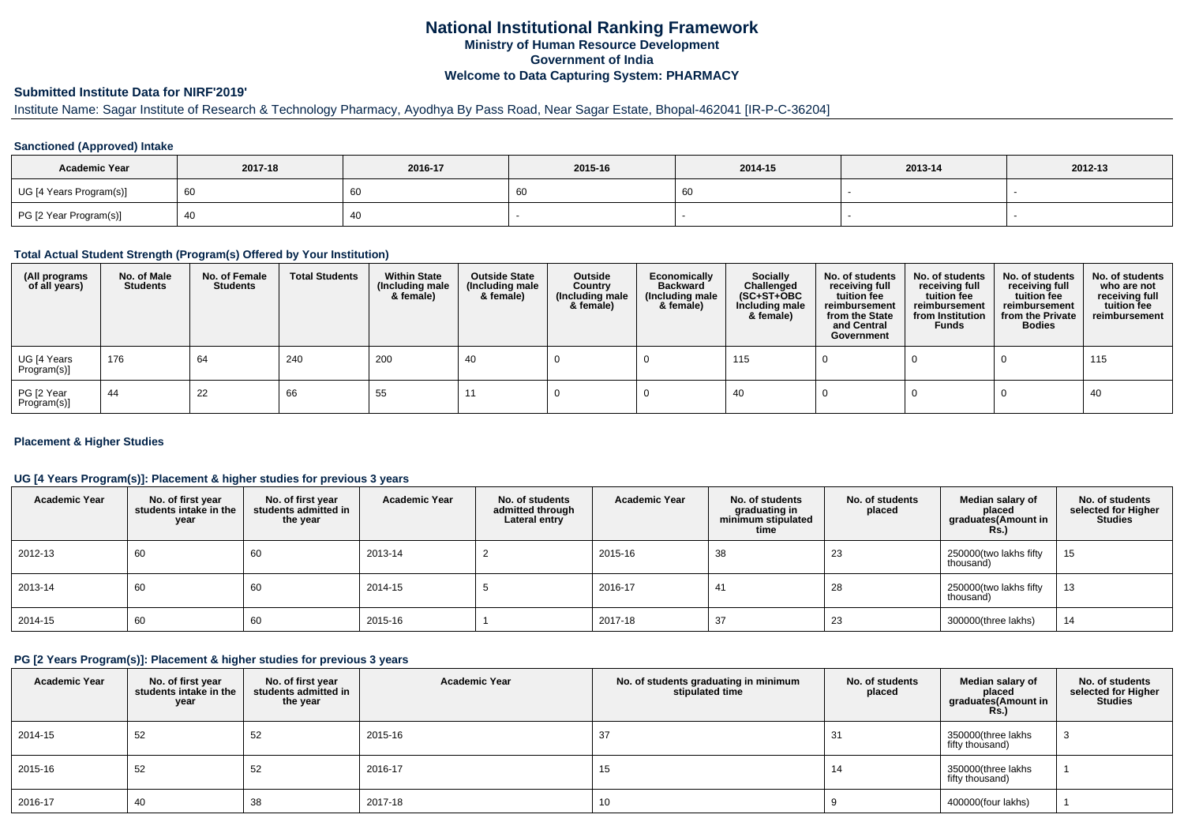# **National Institutional Ranking FrameworkMinistry of Human Resource DevelopmentGovernment of IndiaWelcome to Data Capturing System: PHARMACY**

## **Submitted Institute Data for NIRF'2019'**

# Institute Name: Sagar Institute of Research & Technology Pharmacy, Ayodhya By Pass Road, Near Sagar Estate, Bhopal-462041 [IR-P-C-36204]

#### **Sanctioned (Approved) Intake**

| <b>Academic Year</b>    | 2017-18 | 2016-17 | 2015-16 | 2014-15 | 2013-14 | 2012-13 |
|-------------------------|---------|---------|---------|---------|---------|---------|
| UG [4 Years Program(s)] | - 60    | 60      | 0C      | -60     |         |         |
| PG [2 Year Program(s)]  |         | 40      |         |         |         |         |

#### **Total Actual Student Strength (Program(s) Offered by Your Institution)**

| (All programs<br>of all years) | No. of Male<br><b>Students</b> | No. of Female<br><b>Students</b> | <b>Total Students</b> | <b>Within State</b><br>(Including male<br>& female) | <b>Outside State</b><br>(Including male<br>& female) | Outside<br>Country<br>(Including male<br>& female) | Economically<br><b>Backward</b><br>(Including male<br>& female) | <b>Socially</b><br>Challenged<br>$(SC+ST+OBC)$<br>Including male<br>& female) | No. of students<br>receiving full<br>tuition fee<br>reimbursement<br>from the State<br>and Central<br>Government | No. of students<br>receiving full<br>tuition fee<br>reimbursement<br>from Institution<br><b>Funds</b> | No. of students<br>receiving full<br>tuition fee<br>reimbursement<br>from the Private<br><b>Bodies</b> | No. of students<br>who are not<br>receiving full<br>tuition fee<br>reimbursement |
|--------------------------------|--------------------------------|----------------------------------|-----------------------|-----------------------------------------------------|------------------------------------------------------|----------------------------------------------------|-----------------------------------------------------------------|-------------------------------------------------------------------------------|------------------------------------------------------------------------------------------------------------------|-------------------------------------------------------------------------------------------------------|--------------------------------------------------------------------------------------------------------|----------------------------------------------------------------------------------|
| UG [4 Years<br>Program(s)]     | 176                            | 64                               | 240                   | 200                                                 | 40                                                   |                                                    |                                                                 | 115                                                                           |                                                                                                                  |                                                                                                       |                                                                                                        | 115                                                                              |
| PG [2 Year<br>Program(s)]      | 44                             | 22                               | 66                    | 55                                                  |                                                      |                                                    |                                                                 | -40                                                                           |                                                                                                                  |                                                                                                       |                                                                                                        | 40                                                                               |

#### **Placement & Higher Studies**

#### **UG [4 Years Program(s)]: Placement & higher studies for previous 3 years**

| <b>Academic Year</b> | No. of first year<br>students intake in the<br>year | No. of first year<br>students admitted in<br>the year | <b>Academic Year</b> | No. of students<br>admitted through<br>Lateral entry | <b>Academic Year</b> | No. of students<br>graduating in<br>minimum stipulated<br>time | No. of students<br>placed | Median salary of<br>placed<br>graduates(Amount in<br><b>Rs.</b> ) | No. of students<br>selected for Higher<br><b>Studies</b> |
|----------------------|-----------------------------------------------------|-------------------------------------------------------|----------------------|------------------------------------------------------|----------------------|----------------------------------------------------------------|---------------------------|-------------------------------------------------------------------|----------------------------------------------------------|
| 2012-13              | 60                                                  | 60                                                    | 2013-14              |                                                      | 2015-16              | 38                                                             | 23                        | 250000(two lakhs fifty<br>thousand)                               | 15                                                       |
| 2013-14              | 60                                                  | 60                                                    | 2014-15              |                                                      | 2016-17              | 41                                                             | 28                        | 250000(two lakhs fifty<br>thousand)                               | 13                                                       |
| 2014-15              | 60                                                  | 60                                                    | 2015-16              |                                                      | 2017-18              | 37                                                             | 23                        | 300000(three lakhs)                                               | 14                                                       |

#### **PG [2 Years Program(s)]: Placement & higher studies for previous 3 years**

| <b>Academic Year</b> | No. of first year<br>students intake in the<br>year | No. of first vear<br>students admitted in<br>the year | <b>Academic Year</b> | No. of students graduating in minimum<br>stipulated time | No. of students<br>placed | Median salary of<br>placed<br>graduates(Amount in<br><b>Rs.)</b> | No. of students<br>selected for Higher<br><b>Studies</b> |
|----------------------|-----------------------------------------------------|-------------------------------------------------------|----------------------|----------------------------------------------------------|---------------------------|------------------------------------------------------------------|----------------------------------------------------------|
| 2014-15              | 52                                                  | 52                                                    | 2015-16              | 37                                                       | 31                        | 350000(three lakhs<br>fifty thousand)                            |                                                          |
| 2015-16              | 52                                                  | 52                                                    | 2016-17              | 15                                                       | 14                        | 350000(three lakhs<br>fifty thousand)                            |                                                          |
| 2016-17              | 40                                                  | 38                                                    | 2017-18              | 10                                                       |                           | 400000(four lakhs)                                               |                                                          |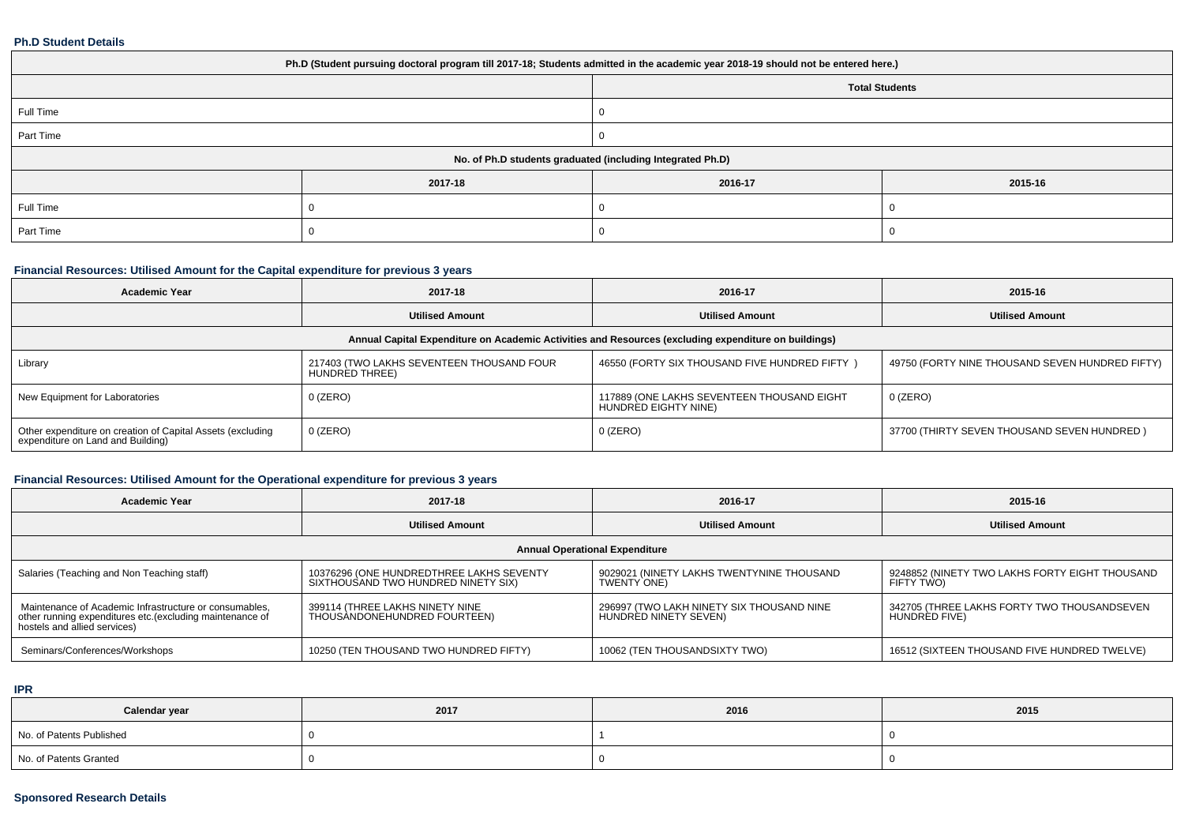#### **Ph.D Student Details**

| Ph.D (Student pursuing doctoral program till 2017-18; Students admitted in the academic year 2018-19 should not be entered here.) |         |                       |         |  |  |
|-----------------------------------------------------------------------------------------------------------------------------------|---------|-----------------------|---------|--|--|
|                                                                                                                                   |         | <b>Total Students</b> |         |  |  |
| Full Time                                                                                                                         |         |                       |         |  |  |
| Part Time                                                                                                                         |         |                       |         |  |  |
| No. of Ph.D students graduated (including Integrated Ph.D)                                                                        |         |                       |         |  |  |
|                                                                                                                                   | 2017-18 | 2016-17               | 2015-16 |  |  |
| Full Time                                                                                                                         |         |                       |         |  |  |
| Part Time                                                                                                                         |         |                       |         |  |  |

## **Financial Resources: Utilised Amount for the Capital expenditure for previous 3 years**

| <b>Academic Year</b>                                                                                 | 2017-18                                                     | 2016-17                                                            | 2015-16                                         |  |  |  |
|------------------------------------------------------------------------------------------------------|-------------------------------------------------------------|--------------------------------------------------------------------|-------------------------------------------------|--|--|--|
|                                                                                                      | <b>Utilised Amount</b>                                      | <b>Utilised Amount</b>                                             | <b>Utilised Amount</b>                          |  |  |  |
| Annual Capital Expenditure on Academic Activities and Resources (excluding expenditure on buildings) |                                                             |                                                                    |                                                 |  |  |  |
| Library                                                                                              | 217403 (TWO LAKHS SEVENTEEN THOUSAND FOUR<br>HUNDRED THREE) | 46550 (FORTY SIX THOUSAND FIVE HUNDRED FIFTY)                      | 49750 (FORTY NINE THOUSAND SEVEN HUNDRED FIFTY) |  |  |  |
| New Equipment for Laboratories                                                                       | $0$ (ZERO)                                                  | 117889 (ONE LAKHS SEVENTEEN THOUSAND EIGHT<br>HUNDRED EIGHTY NINE) | $0$ (ZERO)                                      |  |  |  |
| Other expenditure on creation of Capital Assets (excluding<br>expenditure on Land and Building)      | $0$ (ZERO)                                                  | $0$ (ZERO)                                                         | 37700 (THIRTY SEVEN THOUSAND SEVEN HUNDRED)     |  |  |  |

## **Financial Resources: Utilised Amount for the Operational expenditure for previous 3 years**

| <b>Academic Year</b>                                                                                                                                | 2017-18                                                                         | 2016-17                                                            | 2015-16                                                      |  |  |
|-----------------------------------------------------------------------------------------------------------------------------------------------------|---------------------------------------------------------------------------------|--------------------------------------------------------------------|--------------------------------------------------------------|--|--|
|                                                                                                                                                     | <b>Utilised Amount</b>                                                          | <b>Utilised Amount</b>                                             | <b>Utilised Amount</b>                                       |  |  |
| <b>Annual Operational Expenditure</b>                                                                                                               |                                                                                 |                                                                    |                                                              |  |  |
| Salaries (Teaching and Non Teaching staff)                                                                                                          | 10376296 (ONE HUNDREDTHREE LAKHS SEVENTY<br>SIXTHOUSAND TWO HUNDRED NINETY SIX) | 9029021 (NINETY LAKHS TWENTYNINE THOUSAND<br>TWENTY ONE)           | 9248852 (NINETY TWO LAKHS FORTY EIGHT THOUSAND<br>FIFTY TWO) |  |  |
| Maintenance of Academic Infrastructure or consumables,<br>other running expenditures etc. (excluding maintenance of<br>hostels and allied services) | 399114 (THREE LAKHS NINETY NINE<br>THOUSANDONEHUNDRED FOURTEEN)                 | 296997 (TWO LAKH NINETY SIX THOUSAND NINE<br>HUNDRÈD NINETY SEVEN) | 342705 (THREE LAKHS FORTY TWO THOUSANDSEVEN<br>HUNDRED FIVE) |  |  |
| Seminars/Conferences/Workshops                                                                                                                      | 10250 (TEN THOUSAND TWO HUNDRED FIFTY)                                          | 10062 (TEN THOUSANDSIXTY TWO)                                      | 16512 (SIXTEEN THOUSAND FIVE HUNDRED TWELVE)                 |  |  |

## **IPR**

| Calendar year            | 2017 | 2016 | 2015 |
|--------------------------|------|------|------|
| No. of Patents Published |      |      |      |
| No. of Patents Granted   |      |      |      |

## **Sponsored Research Details**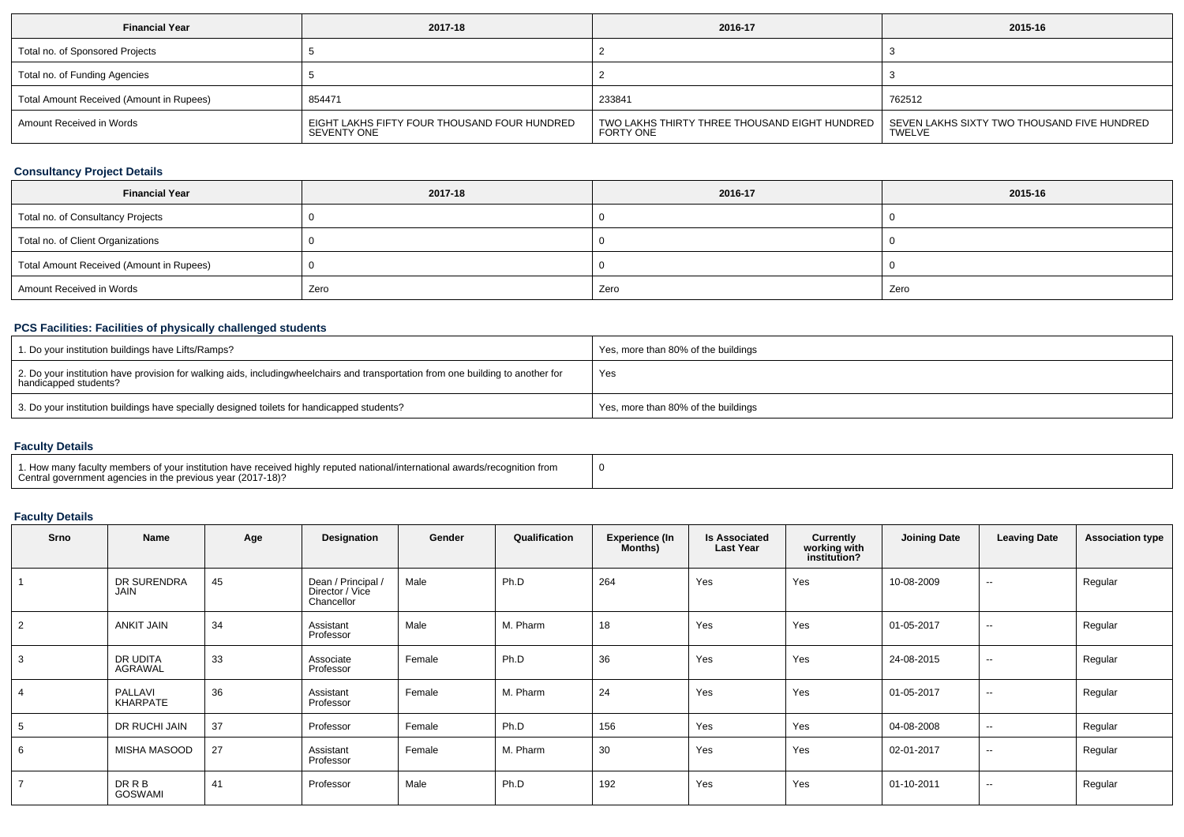| <b>Financial Year</b>                    | 2017-18                                                     | 2016-17                                                      | 2015-16                                               |
|------------------------------------------|-------------------------------------------------------------|--------------------------------------------------------------|-------------------------------------------------------|
| Total no. of Sponsored Projects          |                                                             |                                                              |                                                       |
| Total no. of Funding Agencies            |                                                             |                                                              |                                                       |
| Total Amount Received (Amount in Rupees) | 854471                                                      | 233841                                                       | 762512                                                |
| Amount Received in Words                 | EIGHT LAKHS FIFTY FOUR THOUSAND FOUR HUNDRED<br>SEVENTY ONE | TWO LAKHS THIRTY THREE THOUSAND EIGHT HUNDRED  <br>FORTY ONE | SEVEN LAKHS SIXTY TWO THOUSAND FIVE HUNDRED<br>TWELVE |

## **Consultancy Project Details**

| <b>Financial Year</b>                    | 2017-18 | 2016-17 | 2015-16 |
|------------------------------------------|---------|---------|---------|
| Total no. of Consultancy Projects        |         |         |         |
| Total no. of Client Organizations        |         |         |         |
| Total Amount Received (Amount in Rupees) |         |         |         |
| Amount Received in Words                 | Zero    | Zero    | Zero    |

## **PCS Facilities: Facilities of physically challenged students**

| 1. Do your institution buildings have Lifts/Ramps?                                                                                                        | Yes, more than 80% of the buildings |
|-----------------------------------------------------------------------------------------------------------------------------------------------------------|-------------------------------------|
| 2. Do your institution have provision for walking aids, includingwheelchairs and transportation from one building to another for<br>handicapped students? | Yes                                 |
| 3. Do your institution buildings have specially designed toilets for handicapped students?                                                                | Yes, more than 80% of the buildings |

## **Faculty Details**

| 1. How many faculty members of your institution have received highly reputed national/international awards/recognition from<br>Central government agencies in the previous year (2017-18)? |  |
|--------------------------------------------------------------------------------------------------------------------------------------------------------------------------------------------|--|
|--------------------------------------------------------------------------------------------------------------------------------------------------------------------------------------------|--|

## **Faculty Details**

| Srno | Name                          | Age | Designation                                         | Gender | Qualification | <b>Experience (In</b><br><b>Months</b> ) | <b>Is Associated</b><br><b>Last Year</b> | Currently<br>working with<br>institution? | <b>Joining Date</b> | <b>Leaving Date</b> | <b>Association type</b> |
|------|-------------------------------|-----|-----------------------------------------------------|--------|---------------|------------------------------------------|------------------------------------------|-------------------------------------------|---------------------|---------------------|-------------------------|
|      | DR SURENDRA<br><b>JAIN</b>    | 45  | Dean / Principal /<br>Director / Vice<br>Chancellor | Male   | Ph.D          | 264                                      | Yes                                      | Yes                                       | 10-08-2009          | $- -$               | Regular                 |
|      | <b>ANKIT JAIN</b>             | 34  | Assistant<br>Professor                              | Male   | M. Pharm      | 18                                       | Yes                                      | Yes                                       | 01-05-2017          | $\sim$              | Regular                 |
|      | DR UDITA<br>AGRAWAL           | 33  | Associate<br>Professor                              | Female | Ph.D          | 36                                       | Yes                                      | Yes                                       | 24-08-2015          | $-$                 | Regular                 |
|      | PALLAVI<br>KHARPATE           | 36  | Assistant<br>Professor                              | Female | M. Pharm      | 24                                       | Yes                                      | Yes                                       | 01-05-2017          | $\sim$              | Regular                 |
| . 5  | DR RUCHI JAIN                 | 37  | Professor                                           | Female | Ph.D          | 156                                      | Yes                                      | Yes                                       | 04-08-2008          | $\sim$              | Regular                 |
| -6   | MISHA MASOOD                  | 27  | Assistant<br>Professor                              | Female | M. Pharm      | 30                                       | Yes                                      | Yes                                       | 02-01-2017          | $\sim$              | Regular                 |
|      | <b>DRRB</b><br><b>GOSWAMI</b> | 41  | Professor                                           | Male   | Ph.D          | 192                                      | Yes                                      | Yes                                       | 01-10-2011          | $\sim$ $\sim$       | Regular                 |